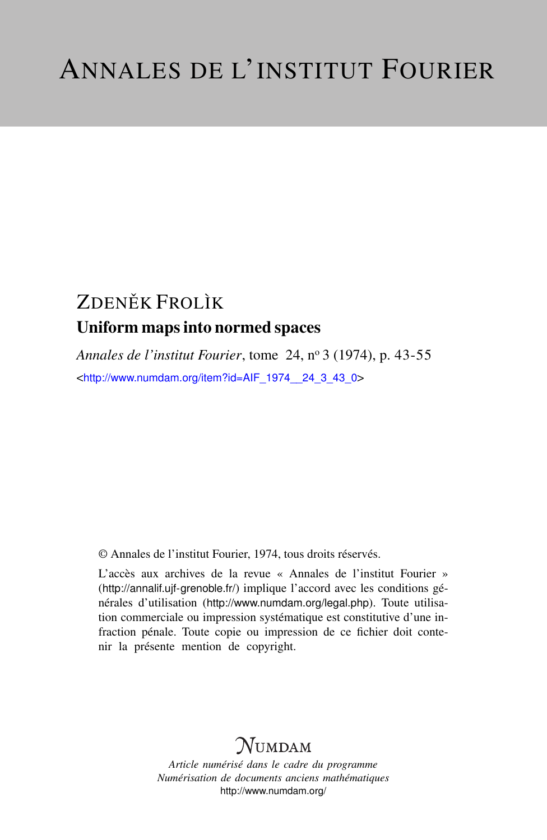# ZDENĚK FROLÌK Uniform maps into normed spaces

*Annales de l'institut Fourier*, tome 24, n<sup>o</sup> 3 (1974), p. 43-55 <[http://www.numdam.org/item?id=AIF\\_1974\\_\\_24\\_3\\_43\\_0](http://www.numdam.org/item?id=AIF_1974__24_3_43_0)>

© Annales de l'institut Fourier, 1974, tous droits réservés.

L'accès aux archives de la revue « Annales de l'institut Fourier » (<http://annalif.ujf-grenoble.fr/>) implique l'accord avec les conditions générales d'utilisation (<http://www.numdam.org/legal.php>). Toute utilisation commerciale ou impression systématique est constitutive d'une infraction pénale. Toute copie ou impression de ce fichier doit contenir la présente mention de copyright.

# NUMDAM

*Article numérisé dans le cadre du programme Numérisation de documents anciens mathématiques* <http://www.numdam.org/>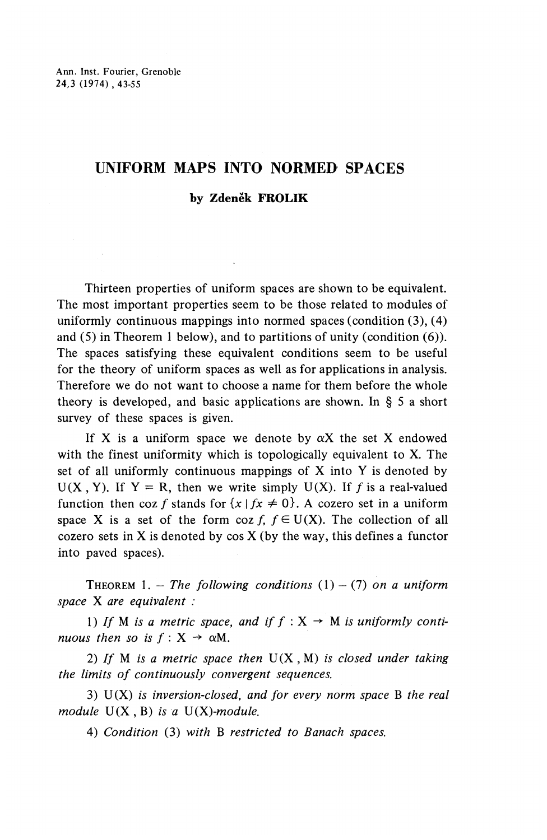# **UNIFORM MAPS INTO NORMED SPACES**

# **by Zdenek FROLIK**

Thirteen properties of uniform spaces are shown to be equivalent. The most important properties seem to be those related to modules of uniformly continuous mappings into normed spaces (condition (3), (4) and (5) in Theorem 1 below), and to partitions of unity (condition (6)). The spaces satisfying these equivalent conditions seem to be useful for the theory of uniform spaces as well as for applications in analysis. Therefore we do not want to choose a name for them before the whole theory is developed, and basic applications are shown. In § 5 a short survey of these spaces is given.

If X is a uniform space we denote by  $\alpha X$  the set X endowed with the finest uniformity which is topologically equivalent to X. The set of all uniformly continuous mappings of X into Y is denoted by  $U(X, Y)$ . If Y = R, then we write simply  $U(X)$ . If f is a real-valued function then coz f stands for  $\{x \mid fx \neq 0\}$ . A cozero set in a uniform space X is a set of the form coz f,  $f \in U(X)$ . The collection of all cozero sets in X is denoted by  $cos X$  (by the way, this defines a functor into paved spaces).

THEOREM 1. – The following conditions  $(1) - (7)$  on a uniform *space* X *are equivalent :*

1) If M is a metric space, and if  $f : X \to M$  is uniformly conti*nuous then so is f* : X *-*  $\rightarrow \alpha M$ .

2) // M *is a metric space then* U(X , M) *is closed under taking the limits of continuously convergent sequences.*

3) U(X) *is inversion-closed, and for every norm space* B *the real module* U(X , B) *is a V(X)-module.*

4) *Condition* (3) *with* B *restricted to Banach spaces.*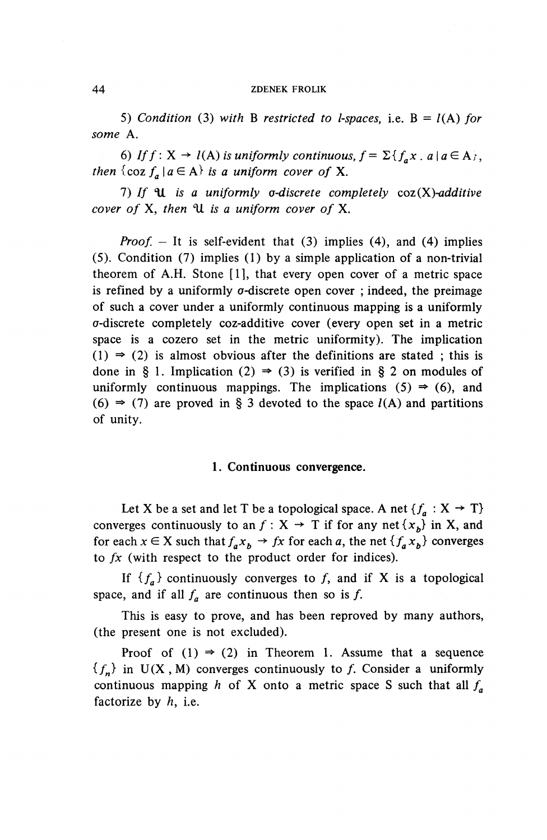5) *Condition* (3) with B restricted to *l*-spaces, i.e.  $B = l(A)$  for *some* A.

6) If  $f: X \to l(A)$  is uniformly continuous,  $f = \sum \{f_{n}x \cdot a \mid a \in A\},$ *then*  $\{\cos f_a \mid a \in A\}$  *is a uniform cover of* X.

7) If  $\mathcal U$  is a uniformly *a-discrete completely coz(X)-additive cover of* X, *then* ^U z'5 a *uniform cover of* X.

*Proof.*  $-$  It is self-evident that (3) implies (4), and (4) implies (5). Condition (7) implies (1) by a simple application of a non-trivial theorem of A.H. Stone [I], that every open cover of a metric space is refined by a uniformly  $\sigma$ -discrete open cover ; indeed, the preimage of such a cover under a uniformly continuous mapping is a uniformly a-discrete completely coz-additive cover (every open set in a metric space is a cozero set in the metric uniformity). The implication  $(1) \Rightarrow (2)$  is almost obvious after the definitions are stated; this is done in § 1. Implication (2)  $\Rightarrow$  (3) is verified in § 2 on modules of uniformly continuous mappings. The implications  $(5) \Rightarrow (6)$ , and (6)  $\Rightarrow$  (7) are proved in § 3 devoted to the space  $l(A)$  and partitions of unity.

### **1. Continuous convergence.**

Let X be a set and let T be a topological space. A net  $\{f_a : X \rightarrow T\}$ converges continuously to an  $f : X \rightarrow T$  if for any net  $\{x_b\}$  in X, and for each  $x \in X$  such that  $f_a x_b \to fx$  for each a, the net  ${f_a x_b}$  converges to *fx* (with respect to the product order for indices).

If  ${f_a}$  continuously converges to f, and if X is a topological space, and if all  $f_a$  are continuous then so is f.

This is easy to prove, and has been reproved by many authors, (the present one is not excluded).

Proof of  $(1) \Rightarrow (2)$  in Theorem 1. Assume that a sequence  ${f_n}$  in U(X, M) converges continuously to f. Consider a uniformly continuous mapping *h* of X onto a metric space S such that all  $f_a$ factorize by  $h$ , i.e.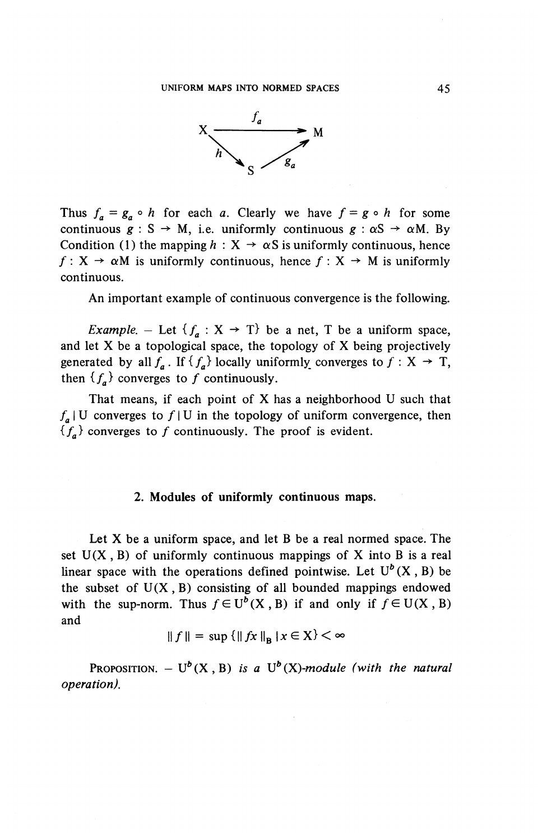

Thus  $f_a = g_a \circ h$  for each *a*. Clearly we have  $f = g \circ h$  for som continuous  $g : S \to M$ , i.e. uniformly continuous  $g : \alpha S \to \alpha M$ . By Condition (1) the mapping  $h: X \to \alpha S$  is uniformly continuous, hence Condition (1) the mapping  $n : X \to \alpha s$  is uniformly continuous, hence  $f : X \to \alpha M$  is uniformly continuous, hence  $f : X \to M$  is uniformly continuous.

An important example of continuous convergence is the following.

*Example.* – Let  $\{f_a : X \rightarrow T\}$  be a net, T be a uniform space, and let X be a topological space, the topology of X being projectively generated by all  $f_a$ . If  ${f_a}$  locally uniformly converges to  $f : X \rightarrow T$ , then  ${f_a}$  converges to f continuously.

That means, if each point of X has a neighborhood U such that  $f_a$  | U converges to  $f$  | U in the topology of uniform convergence, then  ${f_A}$  converges to f continuously. The proof is evident.

# **2. Modules of uniformly continuous maps.**

Let X be a uniform space, and let B be a real normed space. The set  $U(X, B)$  of uniformly continuous mappings of X into B is a real linear space with the operations defined pointwise. Let  $U^b$  (X, B) be the subset of  $U(X, B)$  consisting of all bounded mappings endowed with the sup-norm. Thus  $f \in U^b(X, B)$  if and only if  $f \in U(X, B)$ and

$$
||f|| = \sup \{||fx||_B | x \in X\} < \infty
$$

 $\text{PROPOSITION.} - U^b(X, B)$  is a  $U^b(X)$ -module (with the natural *operation).*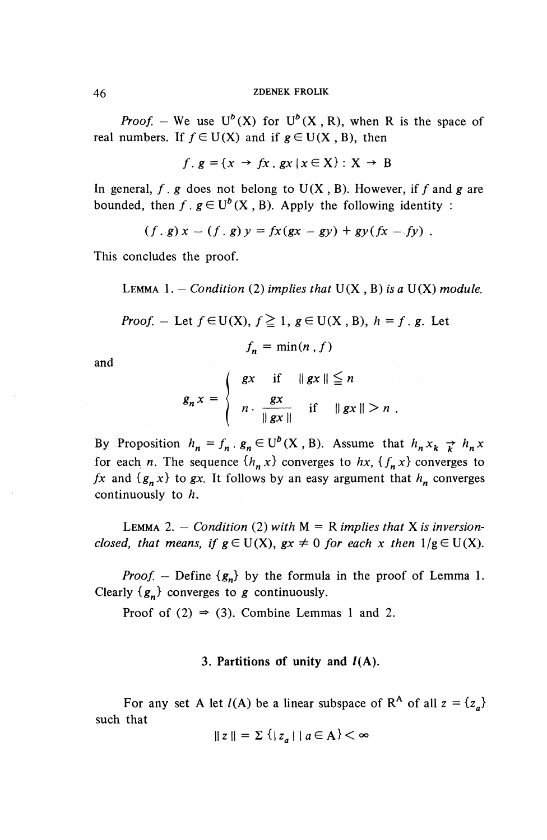*Proof.* – We use  $U^b(X)$  for  $U^b(X, R)$ , when R is the space of real numbers. If  $f \in U(X)$  and if  $g \in U(X, B)$ , then

$$
f \, . \, g = \{x \to fx \, . \, gx \, | \, x \in \mathbf{X}\} : \mathbf{X} \to \mathbf{B}
$$

In general,  $f$ ,  $g$  does not belong to  $U(X, B)$ . However, if f and g are in general, *j*. *g* does not belong to  $U(X, B)$ . However, if *j* and bounded, then  $f$ .  $g \in U^b(X, B)$ . Apply the following identity:

 $(f,g)x - (f,g)y = fx(gx - gy) + gy(fx - fy)$ .

This concludes the proof.

LEMMA 1. - *Condition* (2) *implies that*  $U(X, B)$  *is a*  $U(X)$  *module.* 

*Proof.* – Let 
$$
f \in U(X)
$$
,  $f \ge 1$ ,  $g \in U(X, B)$ ,  $h = f$ . g. Let

$$
f_n = \min(n, f)
$$

and

$$
g_n x = \begin{cases} gx & \text{if} \quad ||gx|| \leq n \\ n \cdot \frac{gx}{||gx||} & \text{if} \quad ||gx|| > n \end{cases}
$$

By Proposition  $h_n = f_n \cdot g_n \in U^b(X, B)$ . Assume that  $h_n x_k \rightarrow h_n x$ for each *n*. The sequence  $\{h_n x\}$  converges to  $hx$ ,  $\{f_n x\}$  converges to *fx* and  ${g_n x}$  to gx. It follows by an easy argument that  $h_n$  converges continuously to A.

LEMMA 2. - *Condition* (2) with  $M = R$  implies that X is inversion*closed, that means, if*  $g \in U(X)$ ,  $gx \neq 0$  for each x then  $1/g \in U(X)$ .

*Proof.* – Define  ${g_n}$  by the formula in the proof of Lemma 1. Clearly  ${g_n}$  converges to g continuously.

Proof of (2)  $\Rightarrow$  (3). Combine Lemmas 1 and 2.

# **3. Partitions of unity and /(A).**

For any set A let  $l(A)$  be a linear subspace of R<sup>A</sup> of all  $z = \{z_a\}$ such that

$$
||z|| = \sum \left\{ |z_a| \mid a \in A \right\} < \infty
$$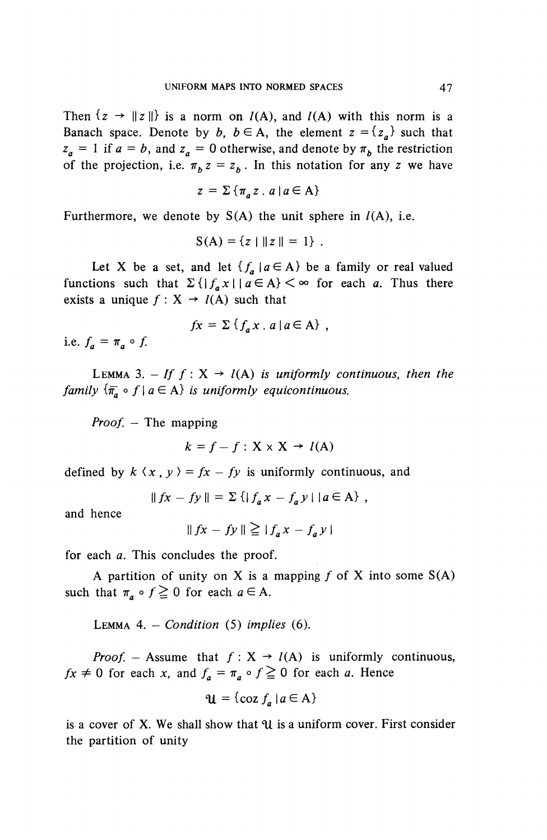Then  $\{z \to ||z||\}$  is a norm on  $I(A)$ , and  $I(A)$  with this norm is a Banach space. Denote by b,  $b \in A$ , the element  $z = \{z_a\}$  such that  $z_a = 1$  if  $a = b$ , and  $z_a = 0$  otherwise, and denote by  $\pi_b$ , the restriction of the projection, i.e.  $\pi_h z = z_h$ . In this notation for any z we have

$$
z = \sum \{ \pi_a z \cdot a \mid a \in A \}
$$

Furthermore, we denote by  $S(A)$  the unit sphere in  $l(A)$ , i.e.

$$
S(A) = \{z \mid ||z|| = 1\}.
$$

Let X be a set, and let  $\{f_a | a \in A\}$  be a family or real valued functions such that  $\sum \{ |f_a x| \mid a \in A \} < \infty$  for each a. Thus there requiredness such that  $2\lambda_1 f_a x + a \in A$ <br>exists a unique  $f : X \to l(A)$  such that

$$
fx = \sum \{f_a x \cdot a \mid a \in A\},\,
$$

i.e.  $f_a = \pi_a \circ f$ .

LEMMA 3. - If  $f : X \rightarrow l(A)$  is uniformly continuous, then the *family*  $\{\overline{\pi}_a \circ f \mid a \in A\}$  *is uniformly equicontinuous.* 

*Proof. —* The mapping

$$
k = f - f : \mathbf{X} \times \mathbf{X} \to l(\mathbf{A})
$$

defined by  $k \langle x, y \rangle = fx - fy$  is uniformly continuous, and

$$
||fx - fy|| = \sum \{ |f_a x - f_a y| | a \in A \},
$$

and hence

 $||fx-fy|| \geq |f_{a}x-f_{a}y|$ 

for each *a.* This concludes the proof.

A partition of unity on X is a mapping  $f$  of X into some  $S(A)$ such that  $\pi_a \circ f \ge 0$  for each  $a \in A$ .

LEMMA 4. — *Condition* (5) *implies* (6).

*Proof.* – Assume that  $f : X \rightarrow I(A)$  is uniformly continuous,  $fx \neq 0$  for each x, and  $f_a = \pi_a \circ f \geq 0$  for each a. Hence

$$
\mathbf{u} = \{\cos f_a \, | \, a \in \mathbf{A}\}
$$

is a cover of X. We shall show that *"U* is a uniform cover. First consider the partition of unity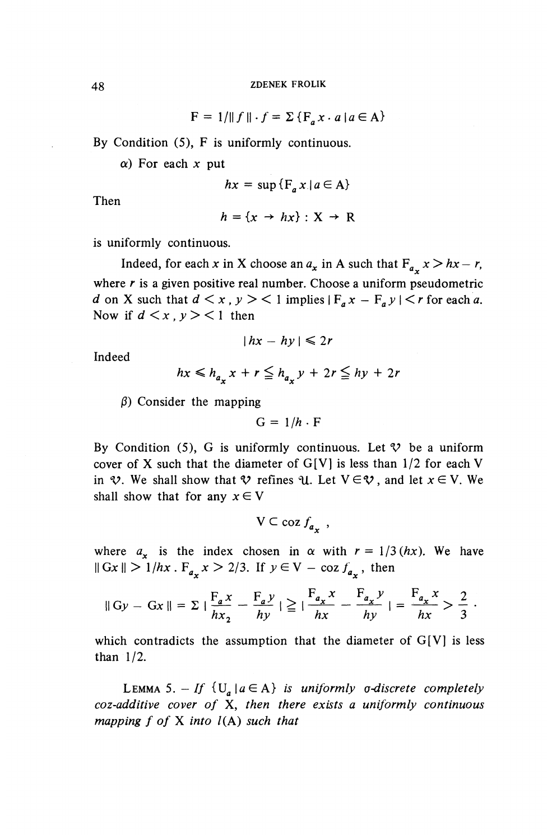$F = 1/|| f || \cdot f = \sum {F_a x \cdot a | a \in A}$ 

By Condition (5), F is uniformly continuous.

 $\alpha$ ) For each x put

$$
hx = \sup \{ F_a x \mid a \in A \}
$$

Then

$$
h = \{x \rightarrow hx\} : X \rightarrow R
$$

is uniformly continuous.

Indeed, for each x in X choose an  $a_x$  in A such that  $F_{a_x}$   $x > h x - r$ , where  $r$  is a given positive real number. Choose a uniform pseudometric *d* on X such that  $d < x$ ,  $y > 1$  implies  $|F_a x - F_a y| < r$  for each a. Now if  $d \leq x$ ,  $y \geq 1$  then

$$
|hx - hy| \leq 2r
$$

Indeed

$$
hx \le h_{a} x + r \le h_{a} y + 2r \le hy + 2r
$$

 $\beta$ ) Consider the mapping

$$
G = 1/h \cdot F
$$

By Condition (5), G is uniformly continuous. Let  $\mathcal V$  be a uniform cover of X such that the diameter of  $G[V]$  is less than  $1/2$  for each V in  $\mathcal{V}$ . We shall show that  $\mathcal{V}$  refines  $\mathcal{U}$ . Let  $V \in \mathcal{V}$ , and let  $x \in V$ . We shall show that for any  $x \in V$ 

$$
V \subset \text{coz } f_{a_{\infty}} \ ,
$$

where  $a_x$  is the index chosen in  $\alpha$  with  $r = 1/3$  (hx). We have where  $a_x$  is the index chosen in  $\alpha$  with  $r = 1/3$ <br> $||Gx|| > 1/hx$ .  $F_{a_x}x > 2/3$ . If  $y \in V - \cos f_{a_x}$ , then

$$
\|Gy - Gx\| = \sum \left|\frac{F_{a}x}{hx_{2}} - \frac{F_{a}y}{hy}\right| \geq \left|\frac{F_{a_{x}}x}{hx} - \frac{F_{a_{x}}y}{hy}\right| = \frac{F_{a_{x}}x}{hx} > \frac{2}{3}.
$$

which contradicts the assumption that the diameter of  $G[V]$  is less than 1/2.

LEMMA 5. - If  $\{U^a \mid a \in A\}$  is uniformly *o-discrete completely coz-additive cover of* X, *then there exists a uniformly continuous mapping f of* X *into* /(A) *such that*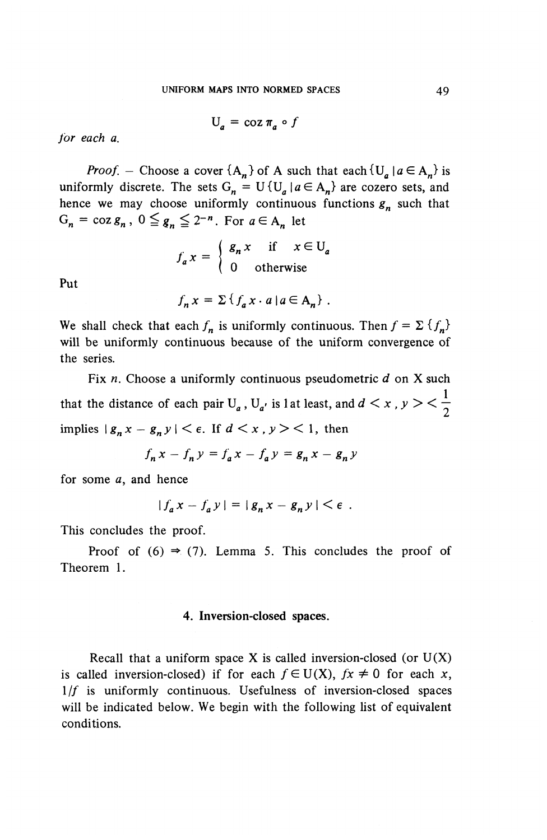$$
U_a = \cos \pi_a \circ f
$$

*for each a.*

*Proof.* – Choose a cover  ${A_n}$  of A such that each  ${U_a \mid a \in A_n}$  is uniformly discrete. The sets  $G_n = U\{U_a | a \in A_n\}$  are cozero sets, and hence we may choose uniformly continuous functions  $g_n$  such that  $G_n = \cos g_n$ ,  $0 \leq g_n \leq 2^{-n}$ . For  $a \in A_n$  let

$$
f_a x = \begin{cases} g_n x & \text{if } x \in U_a \\ 0 & \text{otherwise} \end{cases}
$$

Put

$$
f_n x = \sum \{ f_a x \cdot a \mid a \in A_n \} .
$$

We shall check that each  $f_n$  is uniformly continuous. Then  $f = \sum {f_n}$ will be uniformly continuous because of the uniform convergence of the series.

Fix *n.* Choose a uniformly continuous pseudometric *d* on X such that the distance of each pair  $U_a$ ,  $U_{a'}$  is 1 at least, and  $d < x$ ,  $y > < \frac{1}{2}$ implies  $|g_n x - g_n y| < \epsilon$ . If  $d < x$ ,  $y > 1$ , then

$$
f_n x - f_n y = f_a x - f_a y = g_n x - g_n y
$$

for some *a,* and hence

$$
|f_a x - f_a y| = |g_n x - g_n y| < \epsilon.
$$

This concludes the proof.

Proof of  $(6) \Rightarrow (7)$ . Lemma 5. This concludes the proof of Theorem 1.

# 4. Inversion-closed spaces.

Recall that a uniform space X is called inversion-closed (or  $U(X)$ ) is called inversion-closed) if for each  $f \in U(X)$ ,  $fx \neq 0$  for each x,  $1/f$  is uniformly continuous. Usefulness of inversion-closed spaces will be indicated below. We begin with the following list of equivalent conditions.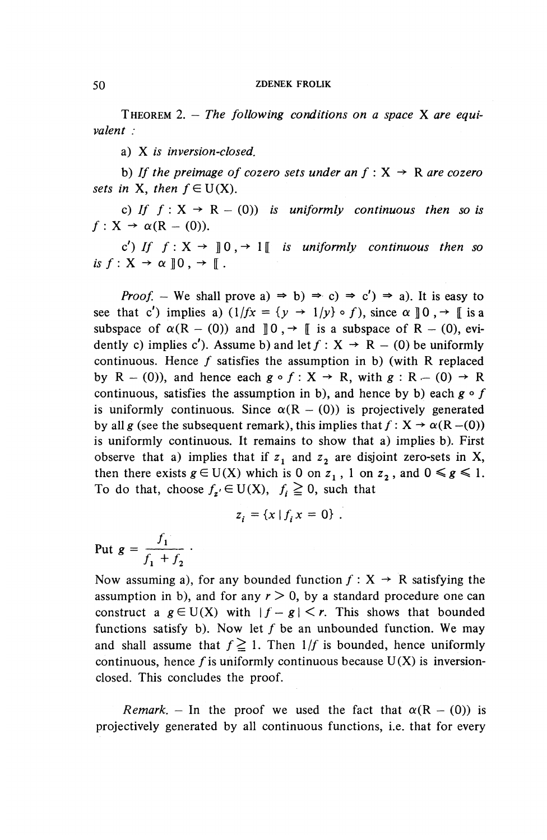THEOREM 2. — *The following conditions on a space* X *are equivalent :*

a) X *is inversion-closed.*

a) X is inversion-closed.<br>b) If the preimage of cozero sets under an f : X -> R *are cozero sets in* **X***, then*  $f \in U(X)$ *.* 

c) If  $f: X \rightarrow R - (0)$  *is uniformly continuous then so is*  $f: X \rightarrow \alpha(R - (0)).$ 

c') If  $f: X \to \mathbb{R}^d$  of  $\to$  1  $\mathbb{R}^d$  is uniformly continuous then so *is*  $f: X \rightarrow \alpha \, | \, 0 \, , \rightarrow | \, | \, .$ 

*Proof.* – We shall prove a)  $\Rightarrow$  b)  $\Rightarrow$  c)  $\Rightarrow$  c')  $\Rightarrow$  a). It is easy to see that c') implies a)  $(1/fx = {y \rightarrow 1/y} \circ f)$ , since  $\alpha \parallel 0 \rightarrow \parallel$  is a subspace of  $\alpha(R - (0))$  and  $\parallel 0$ ,  $\rightarrow \parallel$  is a subspace of R – (0), evidently c) implies c'). Assume b) and let  $f: X \rightarrow R - (0)$  be uniformly continuous. Hence  $f$  satisfies the assumption in b) (with R replaced by  $R - (0)$ , and hence each  $g \circ f : X \to R$ , with  $g : R - (0) \to R$ continuous, satisfies the assumption in b), and hence by b) each *g ° f* is uniformly continuous. Since  $\alpha(R - (0))$  is projectively generated by all g (see the subsequent remark), this implies that  $f: X \rightarrow \alpha(R - (0))$ is uniformly continuous. It remains to show that a) implies b). First observe that a) implies that if  $z_1$  and  $z_2$  are disjoint zero-sets in X, then there exists  $g \in U(X)$  which is 0 on  $z_1$ , 1 on  $z_2$ , and  $0 \le g \le 1$ . To do that, choose  $f_{z'} \in U(X)$ ,  $f_i \ge 0$ , such that

$$
z_i = \{x \mid f_i x = 0\}.
$$

Put  $g = \frac{J_1}{f_1 + f_2}$ .  $J_1$  +  $J_2$ 

Now assuming a), for any bounded function  $f : X \rightarrow R$  satisfying the assumption in b), and for any  $r > 0$ , by a standard procedure one can construct a  $g \in U(X)$  with  $|f-g| < r$ . This shows that bounded functions satisfy b). Now let  $f$  be an unbounded function. We may and shall assume that  $f \ge 1$ . Then  $1/f$  is bounded, hence uniformly continuous, hence f is uniformly continuous because  $U(X)$  is inversionclosed. This concludes the proof.

*Remark.* – In the proof we used the fact that  $\alpha(R - (0))$  is projectively generated by all continuous functions, i.e. that for every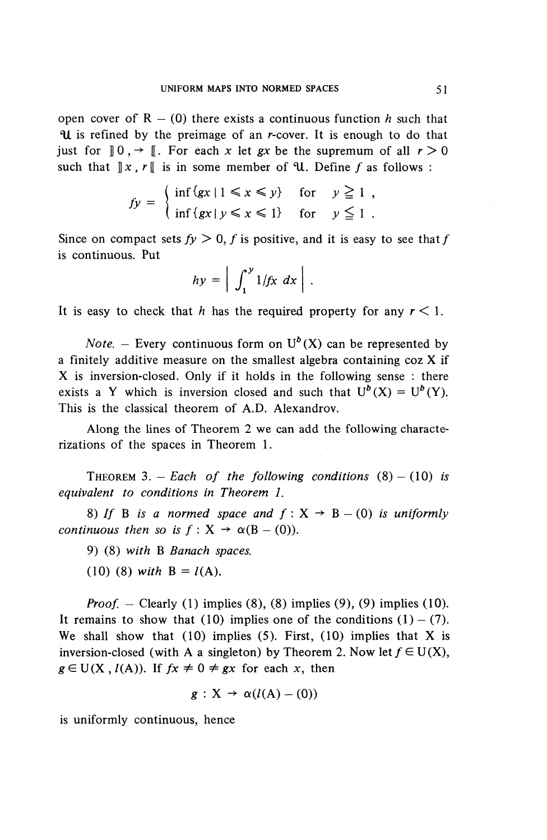open cover of  $R - (0)$  there exists a continuous function h such that **II** is refined by the preimage of an *r*-cover. It is enough to do that just for  $\mathbb{I} \circ \mathbb{I} \to \mathbb{I}$ . For each x let *gx* be the supremum of all  $r > 0$ such that  $\Vert x, r \Vert$  is in some member of  $\mathcal{U}$ . Define f as follows :

$$
fy = \begin{cases} \inf \{gx \mid 1 \le x \le y\} & \text{for } y \ge 1, \\ \inf \{gx \mid y \le x \le 1\} & \text{for } y \le 1. \end{cases}
$$

Since on compact sets  $f_y > 0$ , f is positive, and it is easy to see that f is continuous. Put

$$
hy = \left| \int_1^y 1/fx \ dx \right|.
$$

It is easy to check that *h* has the required property for any *r <* 1.

*Note.* – Every continuous form on  $U^b(X)$  can be represented by a finitely additive measure on the smallest algebra containing coz X if X is inversion-closed. Only if it holds in the following sense : there exists a Y which is inversion closed and such that  $U^b(X) = U^b(Y)$ . This is the classical theorem of A.D. Alexandrov.

Along the lines of Theorem 2 we can add the following characterizations of the spaces in Theorem 1.

THEOREM 3. - Each of the following conditions  $(8) - (10)$  is *equivalent to conditions in Theorem 1.*

8) If B is a normed space and  $f : X \rightarrow B - (0)$  is uniformly 8) If B is a normed sp<br>continuous then so is  $f : X \rightarrow$  $\alpha(B - (0))$ .

9) (8) *with* B *Banach spaces.*

(10) (8) with  $B = l(A)$ .

*Proof. -* Clearly (1) implies (8), (8) implies (9), (9) implies (10). It remains to show that (10) implies one of the conditions  $(1) - (7)$ . We shall show that  $(10)$  implies  $(5)$ . First,  $(10)$  implies that X is inversion-closed (with A a singleton) by Theorem 2. Now let  $f \in U(X)$ , *g*  $\in$  U(X, *l*(A)). If *fx*  $\neq$  0  $\neq$  *gx* for each *x*, then

$$
g: X \to \alpha(l(A) - (0))
$$

is uniformly continuous, hence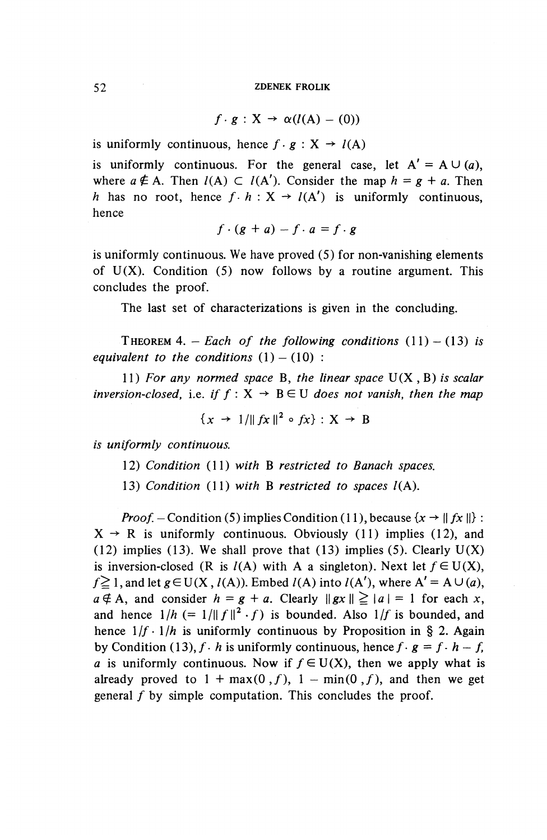$$
f \cdot g : X \to \alpha(l(A) - (0))
$$

is uniformly continuous, hence  $f \cdot g : X \rightarrow l(A)$ 

is uniformly continuous. For the general case, let  $A' = A \cup (a)$ . where  $a \notin A$ . Then  $l(A) \subset l(A')$ . Consider the map  $h = g + a$ . Then *h* has no root, hence  $f \cdot h : X \to l(A')$  is uniformly continuous, hence

$$
f\cdot (g+a)-f\cdot a=f\cdot g
$$

is uniformly continuous. We have proved (5) for non-vanishing elements of  $U(X)$ . Condition (5) now follows by a routine argument. This concludes the proof.

The last set of characterizations is given in the concluding.

THEOREM 4. - *Each of the following conditions*  $(11) - (13)$  *is equivalent to the conditions*  $(1) - (10)$  :

11) *For any normed space* B, *the linear space* U(X , B) *is scalar inversion-closed, i.e. if*  $f : X \rightarrow$  $B \in U$  does not vanish, then the map

$$
\{x \rightarrow 1/\|fx\|^2 \circ fx\} : X \rightarrow B
$$

*is uniformly continuous.*

- 12) *Condition* (11) *with* B *restricted to Banach spaces.*
- 13) *Condition* (11) *with* B *restricted to spaces* /(A).

*Proof.* – Condition (5) implies Condition (11), because  $\{x \rightarrow ||fx||\}$ :  $X \rightarrow R$  is uniformly continuous. Obviously (11) implies (12), and (12) implies (13). We shall prove that (13) implies (5). Clearly  $U(X)$ is inversion-closed (R is  $l(A)$  with A a singleton). Next let  $f \in U(X)$ ,  $f \ge 1$ , and let  $g \in U(X, l(A))$ . Embed  $l(A)$  into  $l(A')$ , where  $A' = A \cup (a)$ ,  $a \notin A$ , and consider  $h = g + a$ . Clearly  $\|gx\| \geq |a| = 1$  for each x, and hence  $1/h (= 1/||f||^2 \cdot f)$  is bounded. Also  $1/f$  is bounded, and hence  $1/f \cdot 1/h$  is uniformly continuous by Proposition in § 2. Again by Condition (13),  $f \cdot h$  is uniformly continuous, hence  $f \cdot g = f \cdot h - f$ , *a* is uniformly continuous. Now if  $f \in U(X)$ , then we apply what is already proved to  $1 + \max(0, f)$ ,  $1 - \min(0, f)$ , and then we get general  $f$  by simple computation. This concludes the proof.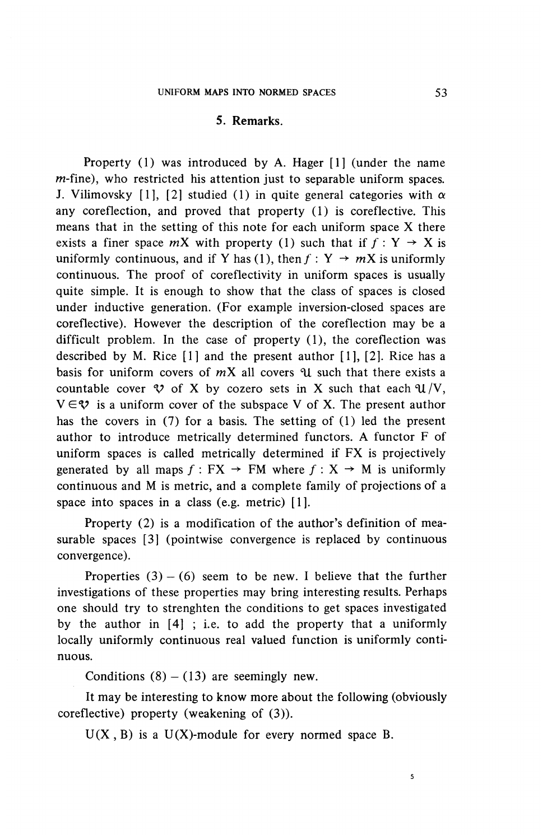# **5. Remarks.**

Property (1) was introduced by A. Hager [1] (under the name  $m$ -fine), who restricted his attention just to separable uniform spaces. J. Vilimovsky [1], [2] studied (1) in quite general categories with  $\alpha$ any coreflection, and proved that property (1) is coreflective. This means that in the setting of this note for each uniform space X there exists a finer space  $mX$  with property (1) such that if  $f : Y \rightarrow X$  is uniformly continuous, and if Y has (1), then  $f: Y \rightarrow mX$  is uniformly continuous. The proof of coreflectivity in uniform spaces is usually quite simple. It is enough to show that the class of spaces is closed under inductive generation. (For example inversion-closed spaces are coreflective). However the description of the coreflection may be a difficult problem. In the case of property (1), the coreflection was described by M. Rice [1] and the present author [I], [2]. Rice has a basis for uniform covers of  $mX$  all covers  $\mathcal U$  such that there exists a countable cover  $\mathcal V$  of X by cozero sets in X such that each  $\mathcal U/V$ ,  $V \in \mathcal{V}$  is a uniform cover of the subspace V of X. The present author has the covers in (7) for a basis. The setting of (1) led the present author to introduce metrically determined functors. A functor F of uniform spaces is called metrically determined if FX is projectively generated by all maps  $f : FX \rightarrow FM$  where  $f : X \rightarrow M$  is uniformly continuous and M is metric, and a complete family of projections of a space into spaces in a class (e.g. metric) [1].

Property (2) is a modification of the author's definition of measurable spaces [3] (pointwise convergence is replaced by continuous convergence).

Properties  $(3) - (6)$  seem to be new. I believe that the further investigations of these properties may bring interesting results. Perhaps one should try to strenghten the conditions to get spaces investigated by the author in [4] ; i.e. to add the property that a uniformly locally uniformly continuous real valued function is uniformly continuous.

Conditions  $(8) - (13)$  are seemingly new.

It may be interesting to know more about the following (obviously coreflective) property (weakening of (3)).

 $U(X, B)$  is a  $U(X)$ -module for every normed space B.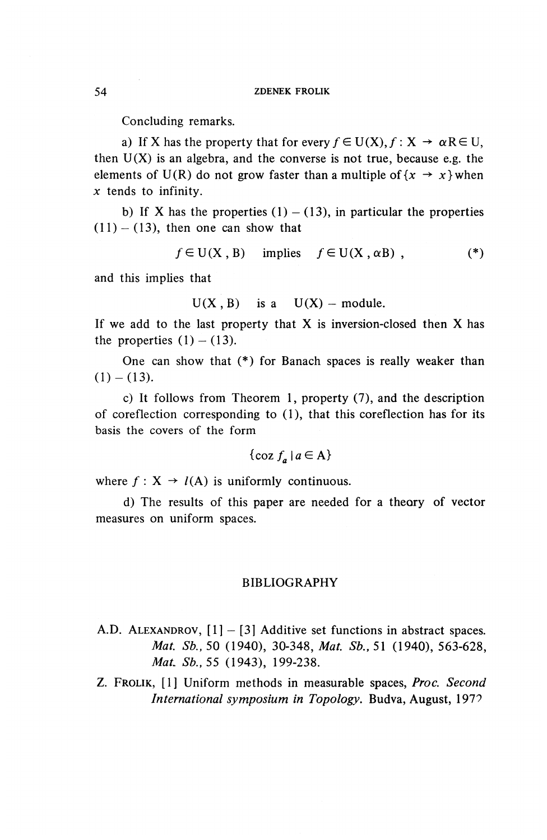Concluding remarks.

a) If X has the property that for every  $f \in U(X)$ ,  $f: X \rightarrow \alpha R \in U$ , then  $U(X)$  is an algebra, and the converse is not true, because e.g. the elements of U(R) do not grow faster than a multiple of  $\{x \rightarrow x\}$  when *x* tends to infinity.

b) If X has the properties  $(1) - (13)$ , in particular the properties  $(11) - (13)$ , then one can show that

$$
f \in U(X, B) \quad \text{implies} \quad f \in U(X, \alpha B) , \tag{*}
$$

and this implies that

$$
U(X, B)
$$
 is a  $U(X)$  – module.

If we add to the last property that  $X$  is inversion-closed then  $X$  has the properties  $(1) - (13)$ .

One can show that (\*) for Banach spaces is really weaker than  $(1)-(13)$ .

c) It follows from Theorem 1, property (7), and the description of coreflection corresponding to (1), that this coreflection has for its basis the covers of the form

$$
\{\cos f_a \mid a \in \mathcal{A}\}\
$$

where  $f: X \rightarrow l(A)$  is uniformly continuous.

d) The results of this paper are needed for a theory of vector measures on uniform spaces.

### BIBLIOGRAPHY

- A.D. ALEXANDROV,  $[1] [3]$  Additive set functions in abstract spaces. *Mat. Sb.,* 50 (1940), 30-348, *Mat. Sb.*, 51 (1940), 563-628, *MaL Sb.,55* (1943), 199-238.
- Z. FROLIK, [1] Uniform methods in measurable spaces, *Proc. Second International symposium in Topology.* Budva, August, 197^